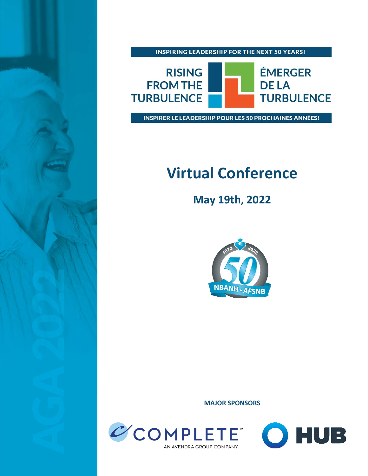

**INSPIRING LEADERSHIP FOR THE NEXT 50 YEARS!** 



INSPIRER LE LEADERSHIP POUR LES 50 PROCHAINES ANNÉES!

## **Virtual Conference**

**May 19th, 2022**



**MAJOR SPONSORS**



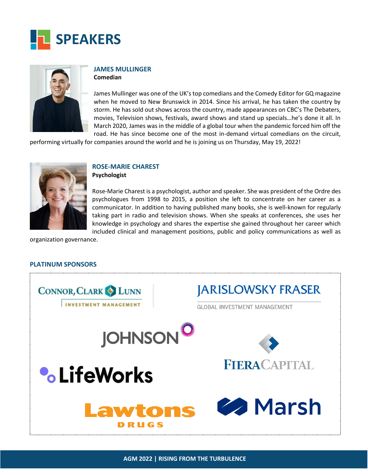



### **JAMES MULLINGER**

**Comedian**

James Mullinger was one of the UK's top comedians and the Comedy Editor for GQ magazine when he moved to New Brunswick in 2014. Since his arrival, he has taken the country by storm. He has sold out shows across the country, made appearances on CBC's The Debaters, movies, Television shows, festivals, award shows and stand up specials…he's done it all. In March 2020, James was in the middle of a global tour when the pandemic forced him off the road. He has since become one of the most in-demand virtual comedians on the circuit,

performing virtually for companies around the world and he is joining us on Thursday, May 19, 2022!



#### **ROSE-MARIE CHAREST Psychologist**

Rose-Marie Charest is a psychologist, author and speaker. She was president of the Ordre des psychologues from 1998 to 2015, a position she left to concentrate on her career as a communicator. In addition to having published many books, she is well-known for regularly taking part in radio and television shows. When she speaks at conferences, she uses her knowledge in psychology and shares the expertise she gained throughout her career which included clinical and management positions, public and policy communications as well as

organization governance.

#### **PLATINUM SPONSORS**

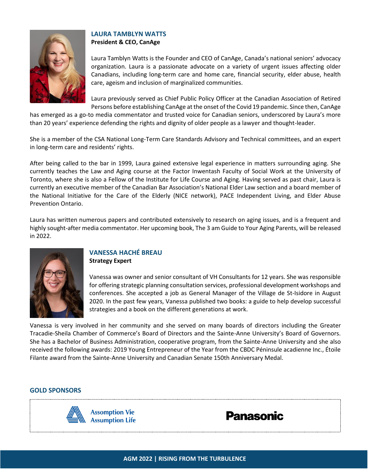

#### **LAURA TAMBLYN WATTS President & CEO, CanAge**

Laura Tamblyn Watts is the Founder and CEO of CanAge, Canada's national seniors' advocacy organization. Laura is a passionate advocate on a variety of urgent issues affecting older Canadians, including long-term care and home care, financial security, elder abuse, health care, ageism and inclusion of marginalized communities.

Laura previously served as Chief Public Policy Officer at the Canadian Association of Retired Persons before establishing CanAge at the onset of the Covid 19 pandemic. Since then, CanAge

has emerged as a go-to media commentator and trusted voice for Canadian seniors, underscored by Laura's more than 20 years' experience defending the rights and dignity of older people as a lawyer and thought-leader.

She is a member of the CSA National Long-Term Care Standards Advisory and Technical committees, and an expert in long-term care and residents' rights.

After being called to the bar in 1999, Laura gained extensive legal experience in matters surrounding aging. She currently teaches the Law and Aging course at the Factor Inwentash Faculty of Social Work at the University of Toronto, where she is also a Fellow of the Institute for Life Course and Aging. Having served as past chair, Laura is currently an executive member of the Canadian Bar Association's National Elder Law section and a board member of the National Initiative for the Care of the Elderly (NICE network), PACE Independent Living, and Elder Abuse Prevention Ontario.

Laura has written numerous papers and contributed extensively to research on aging issues, and is a frequent and highly sought-after media commentator. Her upcoming book, The 3 am Guide to Your Aging Parents, will be released in 2022.



#### **VANESSA HACHÉ BREAU Strategy Expert**

Vanessa was owner and senior consultant of VH Consultants for 12 years. She was responsible for offering strategic planning consultation services, professional development workshops and conferences. She accepted a job as General Manager of the Village de St-Isidore in August 2020. In the past few years, Vanessa published two books: a guide to help develop successful strategies and a book on the different generations at work.

Vanessa is very involved in her community and she served on many boards of directors including the Greater Tracadie-Sheila Chamber of Commerce's Board of Directors and the Sainte-Anne University's Board of Governors. She has a Bachelor of Business Administration, cooperative program, from the Sainte-Anne University and she also received the following awards: 2019 Young Entrepreneur of the Year from the CBDC Péninsule acadienne Inc., Étoile Filante award from the Sainte-Anne University and Canadian Senate 150th Anniversary Medal.

#### **GOLD SPONSORS**



**Panasonic**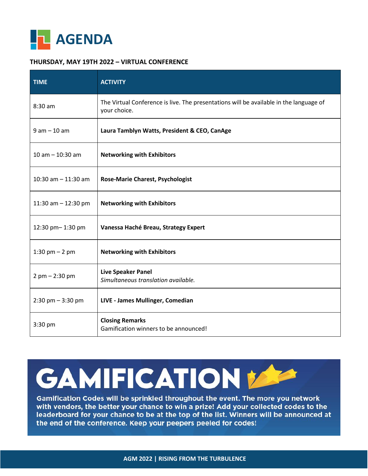

#### **THURSDAY, MAY 19TH 2022 – VIRTUAL CONFERENCE**

| <b>TIME</b>           | <b>ACTIVITY</b>                                                                                        |  |
|-----------------------|--------------------------------------------------------------------------------------------------------|--|
| 8:30 am               | The Virtual Conference is live. The presentations will be available in the language of<br>your choice. |  |
| $9$ am $-10$ am       | Laura Tamblyn Watts, President & CEO, CanAge                                                           |  |
| $10$ am $- 10:30$ am  | <b>Networking with Exhibitors</b>                                                                      |  |
| 10:30 am $-$ 11:30 am | <b>Rose-Marie Charest, Psychologist</b>                                                                |  |
| 11:30 am $-$ 12:30 pm | <b>Networking with Exhibitors</b>                                                                      |  |
| 12:30 pm-1:30 pm      | Vanessa Haché Breau, Strategy Expert                                                                   |  |
| 1:30 pm $- 2$ pm      | <b>Networking with Exhibitors</b>                                                                      |  |
| $2$ pm $- 2:30$ pm    | <b>Live Speaker Panel</b><br>Simultaneous translation available.                                       |  |
| $2:30$ pm $-3:30$ pm  | LIVE - James Mullinger, Comedian                                                                       |  |
| $3:30$ pm             | <b>Closing Remarks</b><br>Gamification winners to be announced!                                        |  |

# **GAMIFICATION**

Gamification Codes will be sprinkled throughout the event. The more you network with vendors, the better your chance to win a prize! Add your collected codes to the leaderboard for your chance to be at the top of the list. Winners will be announced at the end of the conference. Keep your peepers peeled for codes!